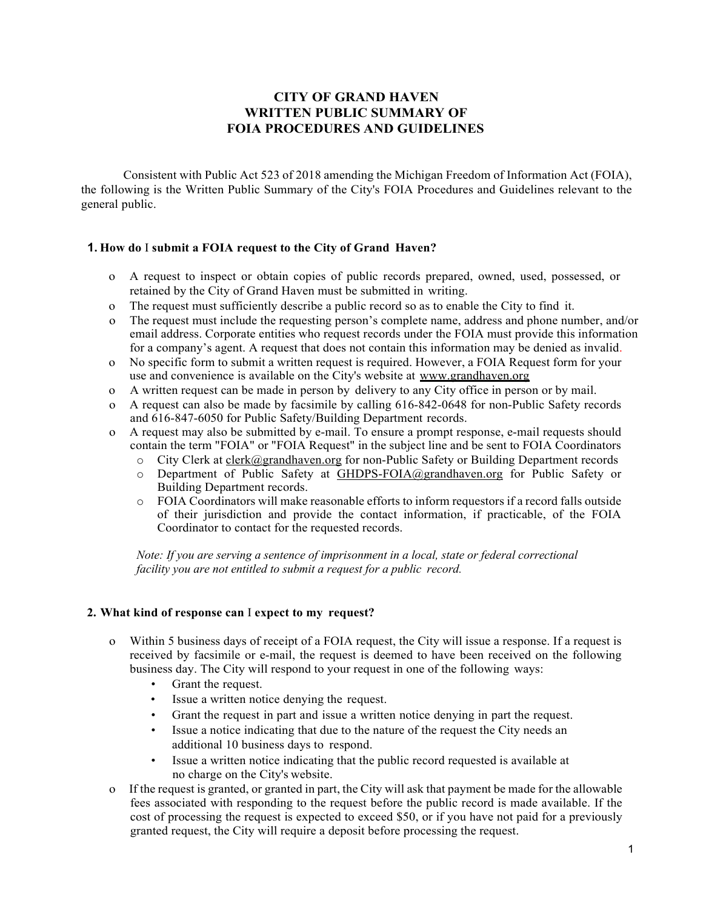# **CITY OF GRAND HAVEN WRITTEN PUBLIC SUMMARY OF FOIA PROCEDURES AND GUIDELINES**

Consistent with Public Act 523 of 2018 amending the Michigan Freedom of Information Act (FOIA), the following is the Written Public Summary of the City's FOIA Procedures and Guidelines relevant to the general public.

## **1. How do** I **submit a FOIA request to the City of Grand Haven?**

- o A request to inspect or obtain copies of public records prepared, owned, used, possessed, or retained by the City of Grand Haven must be submitted in writing.
- o The request must sufficiently describe a public record so as to enable the City to find it.
- o The request must include the requesting person's complete name, address and phone number, and/or email address. Corporate entities who request records under the FOIA must provide this information for a company's agent. A request that does not contain this information may be denied as invalid.
- o No specific form to submit a written request is required. However, a FOIA Request form for your use and convenience is available on the City's website at [www.grandhaven.org](http://www.grandhaven.org/)
- o A written request can be made in person by delivery to any City office in person or by mail.
- o A request can also be made by facsimile by calling 616-842-0648 for non-Public Safety records and 616-847-6050 for Public Safety/Building Department records.
- o A request may also be submitted by e-mail. To ensure a prompt response, e-mail requests should contain the term "FOIA" or "FOIA Request" in the subject line and be sent to FOIA Coordinators
	- o City Clerk at [clerk@grandhaven.org](mailto:clerk@grandhaven.org) for non-Public Safety or Building Department records<br>
	o Department of Public Safety at GHDPS-FOIA@grandhaven.org for Public Safety or
	- Department of Public Safety at [GHDPS-FOIA@grandhaven.org](mailto:GHDPS-FOIA@grandhaven.org) for Public Safety or Building Department records.
	- o FOIA Coordinators will make reasonable efforts to inform requestors if a record falls outside of their jurisdiction and provide the contact information, if practicable, of the FOIA Coordinator to contact for the requested records.

*Note: If you are serving a sentence of imprisonment in a local, state or federal correctional facility you are not entitled to submit a request for a public record.*

#### **2. What kind of response can** I **expect to my request?**

- o Within 5 business days of receipt of a FOIA request, the City will issue a response. If a request is received by facsimile or e-mail, the request is deemed to have been received on the following business day. The City will respond to your request in one of the following ways:
	- Grant the request.
	- Issue a written notice denying the request.
	- Grant the request in part and issue a written notice denying in part the request.
	- Issue a notice indicating that due to the nature of the request the City needs an additional 10 business days to respond.
	- Issue a written notice indicating that the public record requested is available at no charge on the City's website.
- o If the request is granted, or granted in part, the City will ask that payment be made for the allowable fees associated with responding to the request before the public record is made available. If the cost of processing the request is expected to exceed \$50, or if you have not paid for a previously granted request, the City will require a deposit before processing the request.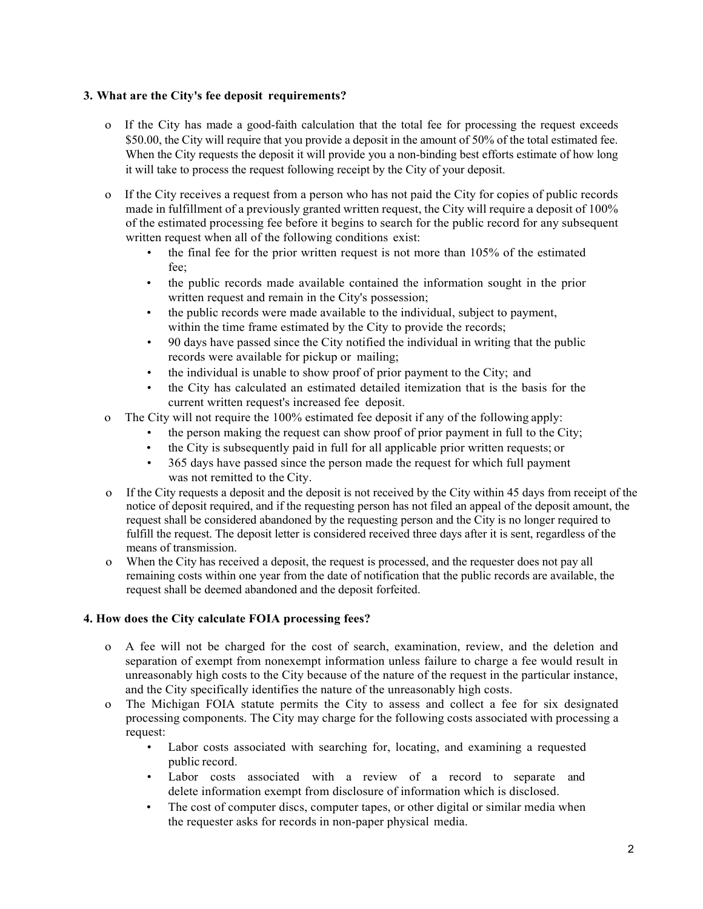## **3. What are the City's fee deposit requirements?**

- o If the City has made a good-faith calculation that the total fee for processing the request exceeds \$50.00, the City will require that you provide a deposit in the amount of 50% of the total estimated fee. When the City requests the deposit it will provide you a non-binding best efforts estimate of how long it will take to process the request following receipt by the City of your deposit.
- o If the City receives a request from a person who has not paid the City for copies of public records made in fulfillment of a previously granted written request, the City will require a deposit of 100% of the estimated processing fee before it begins to search for the public record for any subsequent written request when all of the following conditions exist:
	- the final fee for the prior written request is not more than 105% of the estimated fee;
	- the public records made available contained the information sought in the prior written request and remain in the City's possession;
	- the public records were made available to the individual, subject to payment, within the time frame estimated by the City to provide the records;
	- 90 days have passed since the City notified the individual in writing that the public records were available for pickup or mailing;
	- the individual is unable to show proof of prior payment to the City; and
	- the City has calculated an estimated detailed itemization that is the basis for the current written request's increased fee deposit.
- o The City will not require the 100% estimated fee deposit if any of the following apply:
	- the person making the request can show proof of prior payment in full to the City;
	- the City is subsequently paid in full for all applicable prior written requests; or
	- 365 days have passed since the person made the request for which full payment was not remitted to the City.
- o If the City requests a deposit and the deposit is not received by the City within 45 days from receipt of the notice of deposit required, and if the requesting person has not filed an appeal of the deposit amount, the request shall be considered abandoned by the requesting person and the City is no longer required to fulfill the request. The deposit letter is considered received three days after it is sent, regardless of the means of transmission.
- o When the City has received a deposit, the request is processed, and the requester does not pay all remaining costs within one year from the date of notification that the public records are available, the request shall be deemed abandoned and the deposit forfeited.

## **4. How does the City calculate FOIA processing fees?**

- o A fee will not be charged for the cost of search, examination, review, and the deletion and separation of exempt from nonexempt information unless failure to charge a fee would result in unreasonably high costs to the City because of the nature of the request in the particular instance, and the City specifically identifies the nature of the unreasonably high costs.
- o The Michigan FOIA statute permits the City to assess and collect a fee for six designated processing components. The City may charge for the following costs associated with processing a request:
	- Labor costs associated with searching for, locating, and examining a requested public record.
	- Labor costs associated with a review of a record to separate and delete information exempt from disclosure of information which is disclosed.
	- The cost of computer discs, computer tapes, or other digital or similar media when the requester asks for records in non-paper physical media.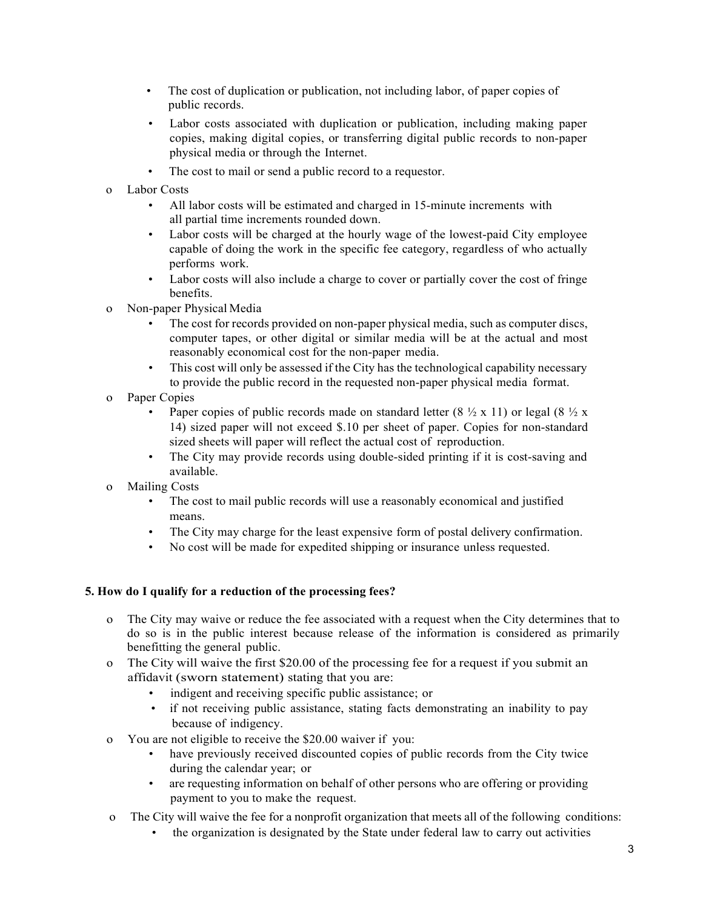- The cost of duplication or publication, not including labor, of paper copies of public records.
- Labor costs associated with duplication or publication, including making paper copies, making digital copies, or transferring digital public records to non-paper physical media or through the Internet.
- The cost to mail or send a public record to a requestor.
- o Labor Costs
	- All labor costs will be estimated and charged in 15-minute increments with all partial time increments rounded down.
	- Labor costs will be charged at the hourly wage of the lowest-paid City employee capable of doing the work in the specific fee category, regardless of who actually performs work.
	- Labor costs will also include a charge to cover or partially cover the cost of fringe benefits.
- o Non-paper Physical Media
	- The cost for records provided on non-paper physical media, such as computer discs, computer tapes, or other digital or similar media will be at the actual and most reasonably economical cost for the non-paper media.
	- This cost will only be assessed if the City has the technological capability necessary to provide the public record in the requested non-paper physical media format.
- o Paper Copies
	- Paper copies of public records made on standard letter  $(8 \frac{1}{2} \times 11)$  or legal  $(8 \frac{1}{2} \times$ 14) sized paper will not exceed \$.10 per sheet of paper. Copies for non-standard sized sheets will paper will reflect the actual cost of reproduction.
	- The City may provide records using double-sided printing if it is cost-saving and available.
- o Mailing Costs
	- The cost to mail public records will use a reasonably economical and justified means.
	- The City may charge for the least expensive form of postal delivery confirmation.
	- No cost will be made for expedited shipping or insurance unless requested.

# **5. How do I qualify for a reduction of the processing fees?**

- o The City may waive or reduce the fee associated with a request when the City determines that to do so is in the public interest because release of the information is considered as primarily benefitting the general public.
- o The City will waive the first \$20.00 of the processing fee for a request if you submit an affidavit (sworn statement) stating that you are:
	- indigent and receiving specific public assistance; or
	- if not receiving public assistance, stating facts demonstrating an inability to pay because of indigency.
- o You are not eligible to receive the \$20.00 waiver if you:
	- have previously received discounted copies of public records from the City twice during the calendar year; or
	- are requesting information on behalf of other persons who are offering or providing payment to you to make the request.
- o The City will waive the fee for a nonprofit organization that meets all of the following conditions:
	- the organization is designated by the State under federal law to carry out activities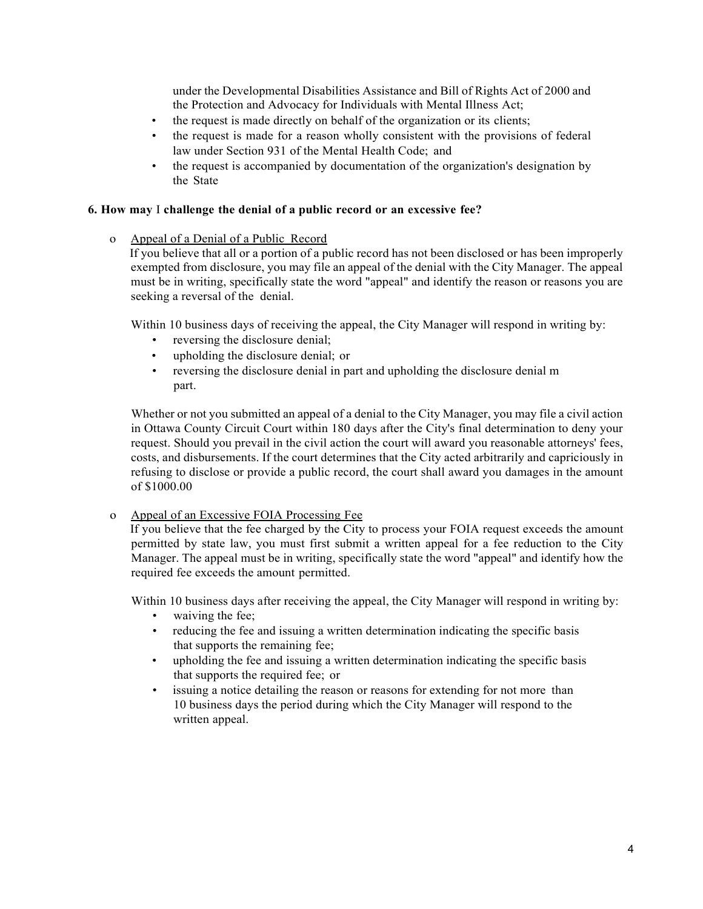under the Developmental Disabilities Assistance and Bill of Rights Act of 2000 and the Protection and Advocacy for Individuals with Mental Illness Act;

- the request is made directly on behalf of the organization or its clients;
- the request is made for a reason wholly consistent with the provisions of federal law under Section 931 of the Mental Health Code; and
- the request is accompanied by documentation of the organization's designation by the State

### **6. How may** I **challenge the denial of a public record or an excessive fee?**

### o Appeal of a Denial of a Public Record

If you believe that all or a portion of a public record has not been disclosed or has been improperly exempted from disclosure, you may file an appeal of the denial with the City Manager. The appeal must be in writing, specifically state the word "appeal" and identify the reason or reasons you are seeking a reversal of the denial.

Within 10 business days of receiving the appeal, the City Manager will respond in writing by:

- reversing the disclosure denial;
- upholding the disclosure denial; or
- reversing the disclosure denial in part and upholding the disclosure denial m part.

Whether or not you submitted an appeal of a denial to the City Manager, you may file a civil action in Ottawa County Circuit Court within 180 days after the City's final determination to deny your request. Should you prevail in the civil action the court will award you reasonable attorneys' fees, costs, and disbursements. If the court determines that the City acted arbitrarily and capriciously in refusing to disclose or provide a public record, the court shall award you damages in the amount of \$1000.00

## o Appeal of an Excessive FOIA Processing Fee

If you believe that the fee charged by the City to process your FOIA request exceeds the amount permitted by state law, you must first submit a written appeal for a fee reduction to the City Manager. The appeal must be in writing, specifically state the word "appeal" and identify how the required fee exceeds the amount permitted.

Within 10 business days after receiving the appeal, the City Manager will respond in writing by:

- waiving the fee;
- reducing the fee and issuing a written determination indicating the specific basis that supports the remaining fee;
- upholding the fee and issuing a written determination indicating the specific basis that supports the required fee; or
- issuing a notice detailing the reason or reasons for extending for not more than 10 business days the period during which the City Manager will respond to the written appeal.